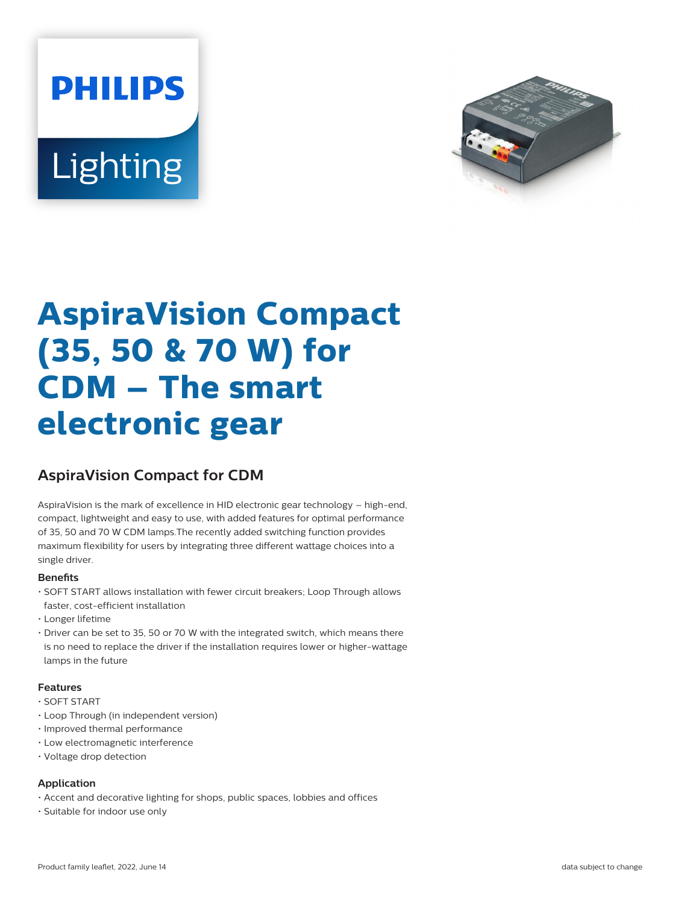# **PHILIPS** Lighting



# **AspiraVision Compact (35, 50 & 70 W) for CDM – The smart electronic gear**

### **AspiraVision Compact for CDM**

AspiraVision is the mark of excellence in HID electronic gear technology – high-end, compact, lightweight and easy to use, with added features for optimal performance of 35, 50 and 70 W CDM lamps.The recently added switching function provides maximum flexibility for users by integrating three different wattage choices into a single driver.

#### **Benets**

- SOFT START allows installation with fewer circuit breakers; Loop Through allows faster, cost-efficient installation
- Longer lifetime
- Driver can be set to 35, 50 or 70 W with the integrated switch, which means there is no need to replace the driver if the installation requires lower or higher-wattage lamps in the future

#### **Features**

- SOFT START
- Loop Through (in independent version)
- Improved thermal performance
- Low electromagnetic interference
- Voltage drop detection

#### **Application**

- Accent and decorative lighting for shops, public spaces, lobbies and offices
- Suitable for indoor use only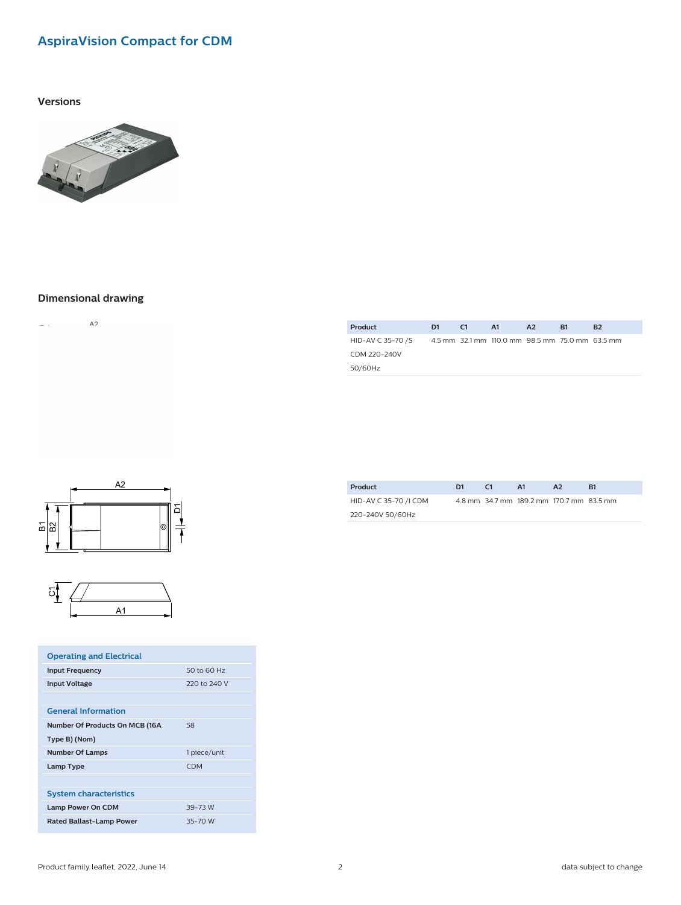## **AspiraVision Compact for CDM**

**Versions**



#### **Dimensional drawing**

 $\mathsf{A} \mathsf{2}$  $\omega_{\rm{eff}}$ 

| Product           | D1. | C1 | A1                                              | A <sub>2</sub> | <b>B1</b> | B <sub>2</sub> |
|-------------------|-----|----|-------------------------------------------------|----------------|-----------|----------------|
| HID-AV C 35-70 /S |     |    | 4.5 mm 32.1 mm 110.0 mm 98.5 mm 75.0 mm 63.5 mm |                |           |                |
| CDM 220-240V      |     |    |                                                 |                |           |                |
| 50/60Hz           |     |    |                                                 |                |           |                |
|                   |     |    |                                                 |                |           |                |





| <b>Operating and Electrical</b> |              |
|---------------------------------|--------------|
| <b>Input Frequency</b>          | 50 to 60 Hz  |
| <b>Input Voltage</b>            | 220 to 240 V |
|                                 |              |
| <b>General Information</b>      |              |
| Number Of Products On MCB (16A  | 58           |
| Type B) (Nom)                   |              |
| <b>Number Of Lamps</b>          | 1 piece/unit |
| Lamp Type                       | <b>CDM</b>   |
|                                 |              |
| <b>System characteristics</b>   |              |
| Lamp Power On CDM               | 39-73 W      |
| <b>Rated Ballast-Lamp Power</b> | 35-70 W      |

| <b>Product</b>        | D1 | C <sub>1</sub> | <b>A1</b>                                | A2 | B1 |  |
|-----------------------|----|----------------|------------------------------------------|----|----|--|
| HID-AV C 35-70 /I CDM |    |                | 4.8 mm 34.7 mm 189.2 mm 170.7 mm 83.5 mm |    |    |  |
| 220-240V 50/60Hz      |    |                |                                          |    |    |  |